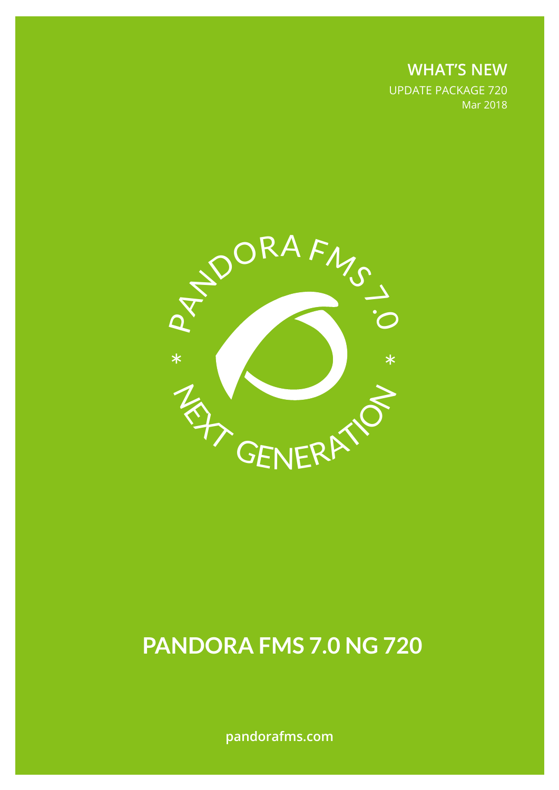**WHAT'S NEW** UPDATE PACKAGE 720 Mar 2018



# **PANDORA FMS 7.0 NG 720**

**pandorafms.com**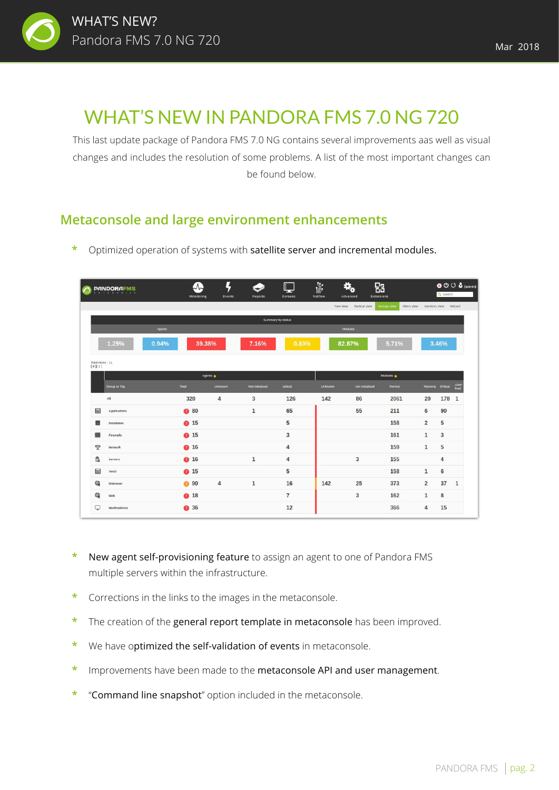

This last update package of Pandora FMS 7.0 NG contains several improvements aas well as visual changes and includes the resolution of some problems. A list of the most important changes can be found below.

## **Metaconsole and large environment enhancements**

|                           | <b>PANDORAFMS</b><br>N T E R P R I S E |          | $\Lambda$<br>Monitoring | Ļ<br><b>Events</b> | ❤<br><b>Reports</b> | $\Box$<br><b>Screens</b> | 部<br>Netflow   | 郘<br><b>Extensions</b><br>Advanced |                            |                  | O <sup>(1)</sup> (3 (admin)<br>Q Search |  |  |
|---------------------------|----------------------------------------|----------|-------------------------|--------------------|---------------------|--------------------------|----------------|------------------------------------|----------------------------|------------------|-----------------------------------------|--|--|
|                           |                                        |          |                         |                    |                     |                          |                | Tree view Tactical view            | Groups view<br>Alerts view |                  | Monitors view Wizard                    |  |  |
|                           |                                        |          |                         |                    |                     | Summary by status        |                |                                    |                            |                  |                                         |  |  |
|                           |                                        | Agents   |                         |                    |                     |                          |                | Modules                            |                            |                  |                                         |  |  |
|                           | 1.25%                                  | 0.94%    | 39.38%                  |                    | 7.16%               | 0.80%                    |                | 82.87%                             | 5.71%                      | 3.46%            |                                         |  |  |
| Total items: 11<br>[0][1] |                                        |          |                         |                    |                     |                          |                |                                    |                            |                  |                                         |  |  |
|                           |                                        | Agents * |                         |                    |                     |                          |                | Modules *                          |                            |                  |                                         |  |  |
|                           | Group or Tag                           |          | Total                   | <b>Unknown</b>     | Not initialised     | critical                 | <b>Unknown</b> | Not initialised                    | Normal                     | Warning Critical | Alert<br>fired                          |  |  |
|                           | All                                    |          | 320                     | 4                  | 3                   | 126                      | 142            | 86                                 | 2061                       | 20               | 178<br>$\mathbf{1}$                     |  |  |
| 畐                         | Applications                           |          | <b>a</b> 80             |                    | $\mathbf{1}$        | 65                       |                | 55                                 | 211                        | 6                | 90                                      |  |  |
| Ξ                         | <b>Databases</b>                       |          | <b>a</b> 15             |                    |                     | 5                        |                |                                    | 158                        | $\overline{2}$   | 5                                       |  |  |
| 嚻                         | Firewalls                              |          | <b>a</b> 15             |                    |                     | 3                        |                |                                    | 161                        | $\mathbf{1}$     | 3                                       |  |  |
| $\widehat{\mathbb{Z}}$    | Network                                |          | <b>0 16</b>             |                    |                     | 4                        |                |                                    | 159                        | $\mathbf{1}$     | 5                                       |  |  |
| ß.                        | <b>Servers</b>                         |          | <b>a</b> 16             |                    | $\mathbf{1}$        | 4                        |                | 3                                  | 155                        |                  | 4                                       |  |  |
| 屇                         | Test3                                  |          | <b>a</b> 15             |                    |                     | 5                        |                |                                    | 158                        | $\mathbf{1}$     | 6                                       |  |  |
| ⊕                         | Unknown                                |          | <b>a</b> 90             | $\overline{4}$     | $\mathbf{1}$        | 16                       | 142            | 25                                 | 373                        | $\overline{2}$   | 37<br>$\mathbf{1}$                      |  |  |
| ⊕                         | Web                                    |          | <b>a</b> 18             |                    |                     | $\overline{7}$           |                | 3                                  | 162                        | $\mathbf{1}$     | 8                                       |  |  |
|                           |                                        |          | <b>a</b> 36             |                    |                     | 12                       |                |                                    | 366                        | 4                | 15                                      |  |  |

**\*** Optimized operation of systems with satellite server and incremental modules.

- **\*** New agent self-provisioning feature to assign an agent to one of Pandora FMS multiple servers within the infrastructure.
- **\*** Corrections in the links to the images in the metaconsole.
- **\*** The creation of the general report template in metaconsole has been improved.
- **\*** We have optimized the self-validation of events in metaconsole.
- **\*** Improvements have been made to the metaconsole API and user management.
- **\*** "Command line snapshot" option included in the metaconsole.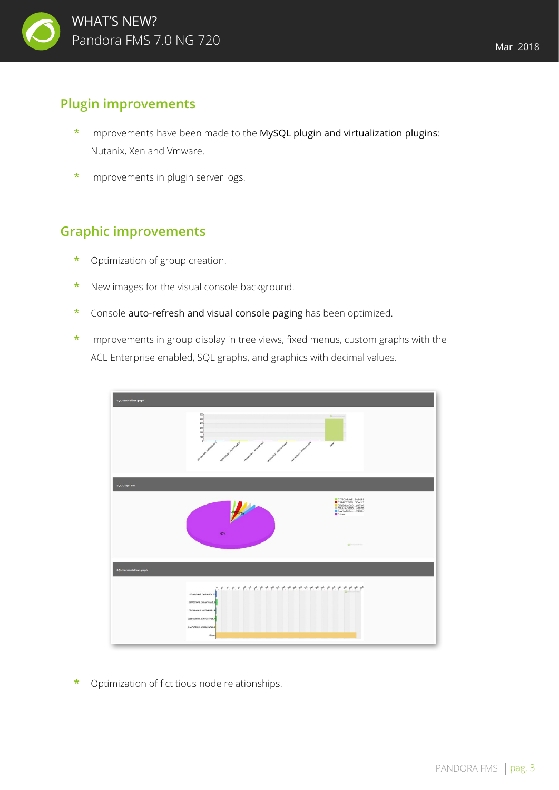

#### **Plugin improvements**

- **\*** Improvements have been made to the MySQL plugin and virtualization plugins: Nutanix, Xen and Vmware.
- **\*** Improvements in plugin server logs.

#### **Graphic improvements**

- **\*** Optimization of group creation.
- **\*** New images for the visual console background.
- **\*** Console auto-refresh and visual console paging has been optimized.
- **\*** Improvements in group display in tree views, fixed menus, custom graphs with the ACL Enterprise enabled, SQL graphs, and graphics with decimal values.



**\*** Optimization of fictitious node relationships.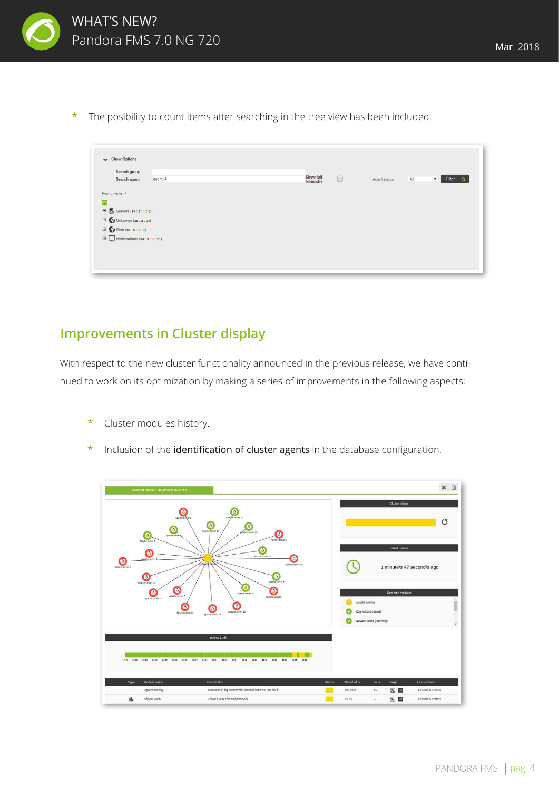

**\*** The posibility to count items after searching in the tree view has been included.

| Search agent                                                                                              | agent_4 | Show full | $\qquad \qquad \Box$ | Agent status | All<br>Filter<br>$\mathbf{v}$<br>$-0$ |
|-----------------------------------------------------------------------------------------------------------|---------|-----------|----------------------|--------------|---------------------------------------|
| Found items: 4                                                                                            |         | hirearchy |                      |              |                                       |
| n                                                                                                         |         |           |                      |              |                                       |
| $\begin{array}{c} \boxed{4} \\ \boxed{3} \end{array}$ Servers (14 : 5 : 1 : 8)<br>D Unknown (15 : 2 : 13) |         |           |                      |              |                                       |
| $\Box$ Web (15 : 5 : 3 : 7)                                                                               |         |           |                      |              |                                       |
| $\boxed{1}$ Workstations (34 : 9 : 4 : 21)                                                                |         |           |                      |              |                                       |

# **Improvements in Cluster display**

With respect to the new cluster functionality announced in the previous release, we have continued to work on its optimization by making a series of improvements in the following aspects:

- **\*** Cluster modules history.
- **\*** Inclusion of the identification of cluster agents in the database configuration.

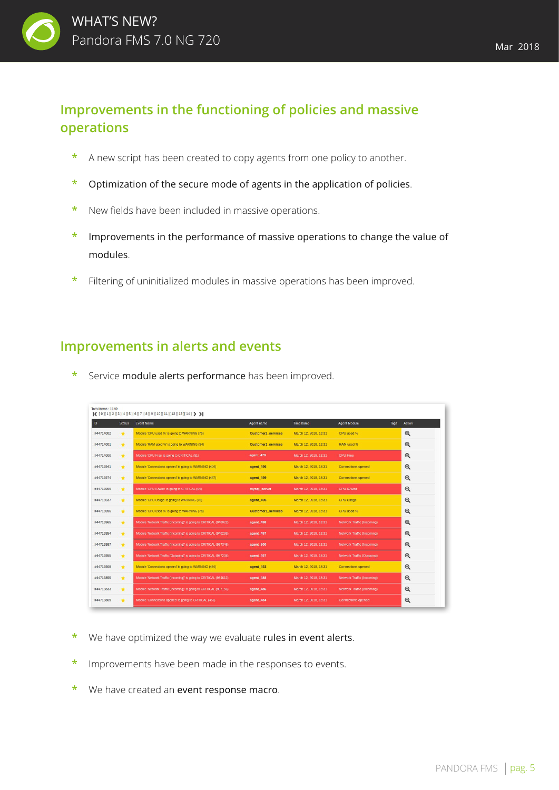

# **Improvements in the functioning of policies and massive operations**

- **\*** A new script has been created to copy agents from one policy to another.
- **\*** Optimization of the secure mode of agents in the application of policies.
- **\*** New fields have been included in massive operations.
- **\*** Improvements in the performance of massive operations to change the value of modules.
- **\*** Filtering of uninitialized modules in massive operations has been improved.

#### **Improvements in alerts and events**

Service module alerts performance has been improved.

|           |               | $\langle$ [0][1][2][3][4][5][6][7][8][9][10][11][12][13][14] > >  |                           |                       |                                   |                       |  |
|-----------|---------------|-------------------------------------------------------------------|---------------------------|-----------------------|-----------------------------------|-----------------------|--|
| ID        | <b>Status</b> | <b>Event Name</b>                                                 | Agent name                | Timestamp             | <b>Agent Module</b>               | <b>Tags</b><br>Action |  |
| #44714002 | $\star$       | Module 'CPU used %' is going to WARNING (75)                      | <b>Customer2 services</b> | March 12, 2018, 18:31 | CPU used %                        | Q                     |  |
| #44714001 | $\star$       | Module 'RAM used %' is going to WARNING (94)                      | <b>Customer1</b> services | March 12, 2018, 18:31 | RAM used %                        | Q                     |  |
| #44714000 | $\pm$         | Module 'CPU Free' is going to CRITICAL (91)                       | agent 479                 | March 12, 2018, 18:31 | <b>CPU Free</b>                   | Q                     |  |
| #44713941 | $\pm$         | Module 'Connections opened' is going to WARNING (404)             | agent 496                 | March 12, 2018, 18:31 | <b>Connections opened</b>         | Q                     |  |
| #44713974 | $\star$       | Module 'Connections opened' is going to WARNING (447)             | agent 499                 | March 12, 2018, 18:31 | <b>Connections opened</b>         | Q                     |  |
| #44713999 | $\pm$         | Module 'CPU IOWait' is going to CRITICAL (64)                     | mysql server              | March 12, 2018, 18:31 | <b>CPU IOWait</b>                 | $\mathbf{\mathbb{Q}}$ |  |
| #44713937 | $\star$       | Module 'CPU Usage' is going to WARNING (76)                       | agent 495                 | March 12, 2018, 18:31 | <b>CPU Usage</b>                  | Q                     |  |
| #44713996 | $\pm$         | Module 'CPU used %' is going to WARNING (78)                      | <b>Customer1 services</b> | March 12, 2018, 18:31 | CPU used %                        | Q                     |  |
| #44713965 | $\pm$         | Module 'Network Traffic (Incoming)' is going to CRITICAL (940022) | agent 498                 | March 12, 2018, 18:31 | <b>Network Traffic (Incoming)</b> | Q                     |  |
| #44713954 | $\mathbf{r}$  | Module 'Network Traffic (Incoming)' is going to CRITICAL (940295) | agent 497                 | March 12, 2018, 18:31 | <b>Network Traffic (Incoming)</b> | Q                     |  |
| #44713987 | $\pm$         | Module 'Network Traffic (Incoming)' is going to CRITICAL (987346) | agent 500                 | March 12, 2018, 18:31 | <b>Network Traffic (Incoming)</b> | Q                     |  |
| #44713955 | $\star$       | Module 'Network Traffic (Outgoing)' is going to CRITICAL (987205) | agent 497                 | March 12, 2018, 18:31 | Network Traffic (Outgoing)        | Q                     |  |
| #44713908 | $\mathbf{r}$  | Module 'Connections opened' is going to WARNING (434)             | agent 493                 | March 12, 2018, 18:31 | <b>Connections opened</b>         | Q                     |  |
| #44713855 | $\pm$         | Module 'Network Traffic (Incoming)' is going to CRITICAL (984612) | agent 488                 | March 12, 2018, 18:31 | <b>Network Traffic (Incoming)</b> | Q                     |  |
| #44713833 | $\star$       | Module 'Network Traffic (Incoming)' is going to CRITICAL (997156) | agent 486                 | March 12, 2018, 18:31 | Network Traffic (Incoming)        | Q                     |  |
| #44713809 | $\star$       | Module 'Connections opened' is going to CRITICAL (456)            | agent 484                 | March 12, 2018, 18:31 | <b>Connections opened</b>         | Q                     |  |
|           |               |                                                                   |                           |                       |                                   |                       |  |

- We have optimized the way we evaluate rules in event alerts.
- **\*** Improvements have been made in the responses to events.
- **\*** We have created an event response macro.